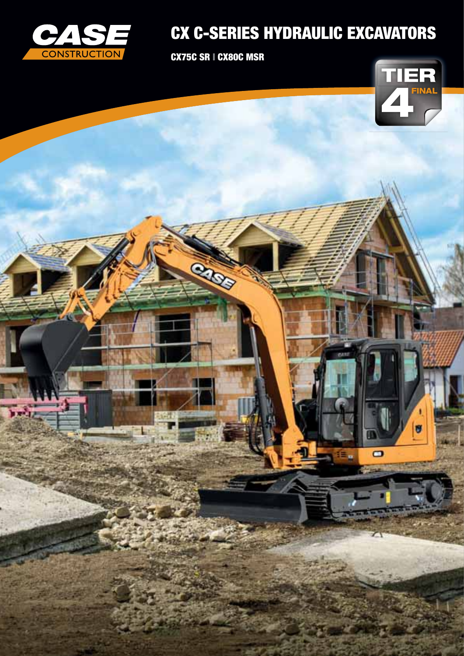

CX75C SR I CX80C MSR

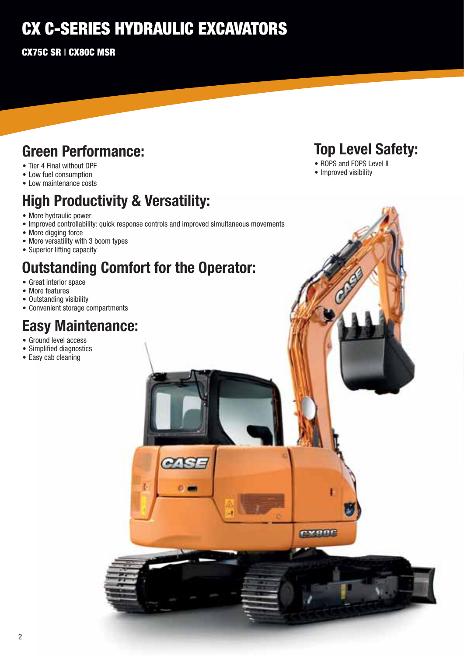CX75C SR I CX80C MSR

# Green Performance:

- Tier 4 Final without DPF
- Low fuel consumption
- Low maintenance costs

# High Productivity & Versatility:

- More hydraulic power
- Improved controllability: quick response controls and improved simultaneous movements

**ang-**

- More digging force
- More versatility with 3 boom types
- Superior lifting capacity

# Outstanding Comfort for the Operator:

- Great interior space
- More features
- Outstanding visibility
- Convenient storage compartments

# Easy Maintenance:

- Ground level access
- Simplified diagnostics
- Easy cab cleaning

# Top Level Safety:

- ROPS and FOPS Level II
- Improved visibility

**PASSING**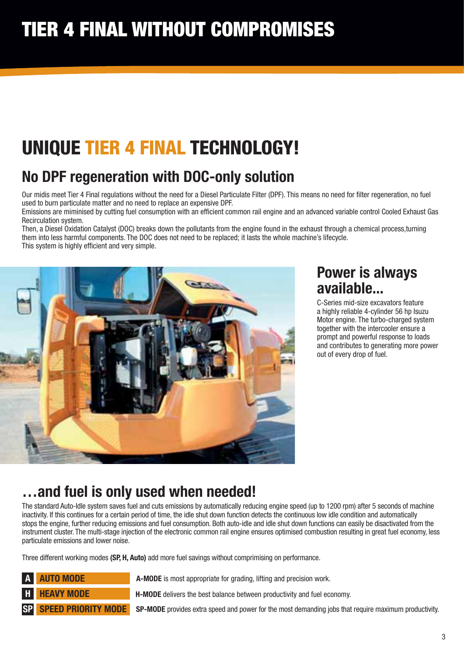# TIER 4 FINAL WITHOUT COMPROMISES

# UNIQUE TIER 4 FINAL TECHNOLOGY!

# No DPF regeneration with DOC-only solution

Our midis meet Tier 4 Final regulations without the need for a Diesel Particulate Filter (DPF). This means no need for fi lter regeneration, no fuel used to burn particulate matter and no need to replace an expensive DPF.

Emissions are miminised by cutting fuel consumption with an efficient common rail engine and an advanced variable control Cooled Exhaust Gas Recirculation system.

Then, a Diesel Oxidation Catalyst (DOC) breaks down the pollutants from the engine found in the exhaust through a chemical process,turning them into less harmful components. The DOC does not need to be replaced; it lasts the whole machine's lifecycle. This system is highly efficient and very simple.



### Power is always available...

C-Series mid-size excavators feature a highly reliable 4-cylinder 56 hp Isuzu Motor engine. The turbo-charged system together with the intercooler ensure a prompt and powerful response to loads and contributes to generating more power out of every drop of fuel.

# …and fuel is only used when needed!

The standard Auto-Idle system saves fuel and cuts emissions by automatically reducing engine speed (up to 1200 rpm) after 5 seconds of machine inactivity. If this continues for a certain period of time, the idle shut down function detects the continuous low idle condition and automatically stops the engine, further reducing emissions and fuel consumption. Both auto-idle and idle shut down functions can easily be disactivated from the instrument cluster. The multi-stage injection of the electronic common rail engine ensures optimised combustion resulting in great fuel economy, less particulate emissions and lower noise.

Three different working modes (SP, H, Auto) add more fuel savings without comprimising on performance.



**AUTO MODE A-MODE** is most appropriate for grading, lifting and precision work.

H-MODE delivers the best balance between productivity and fuel economy.

SP-MODE provides extra speed and power for the most demanding jobs that require maximum productivity.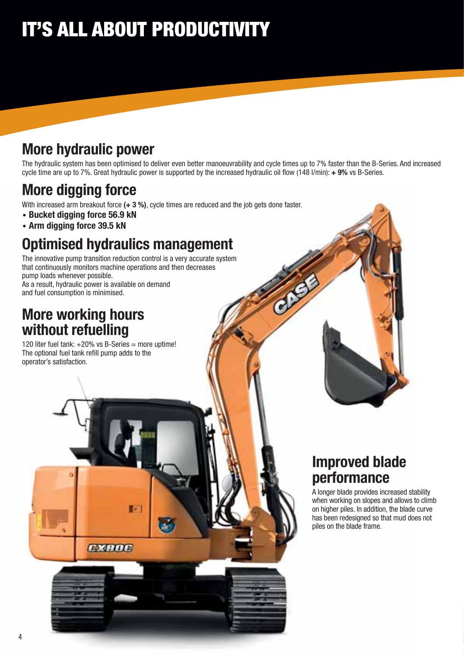# IT'S ALL ABOUT PRODUCTIVITY

# More hydraulic power

The hydraulic system has been optimised to deliver even better manoeuvrability and cycle times up to 7% faster than the B-Series. And increased cycle time are up to 7%. Great hydraulic power is supported by the increased hydraulic oil flow (148 l/min):  $+ 9\%$  vs B-Series.

# More digging force

With increased arm breakout force (+ 3 %), cycle times are reduced and the job gets done faster.

- Bucket digging force 56.9 kN
- Arm digging force 39.5 kN

# Optimised hydraulics management

The innovative pump transition reduction control is a very accurate system that continuously monitors machine operations and then decreases pump loads whenever possible.

**FET** 

**EXITE** 

As a result, hydraulic power is available on demand and fuel consumption is minimised.

### More working hours without refuelling

120 liter fuel tank:  $+20\%$  vs B-Series = more uptime! The optional fuel tank refill pump adds to the operator's satisfaction.

# Improved blade performance

A longer blade provides increased stability when working on slopes and allows to climb on higher piles. In addition, the blade curve has been redesigned so that mud does not piles on the blade frame.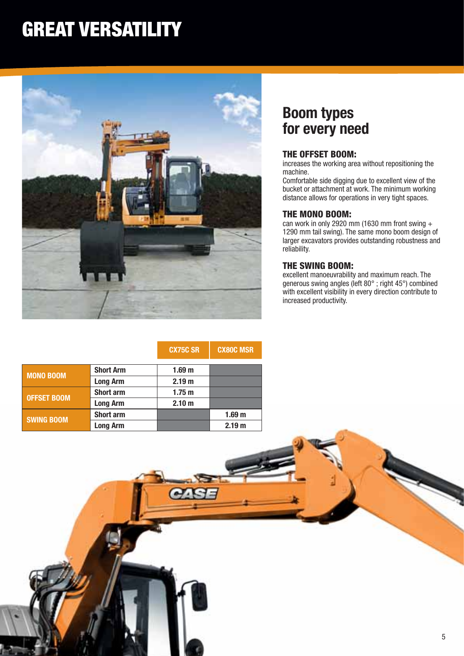# GREAT VERSATILITY



### Boom types for every need

### THE OFFSET BOOM:

increases the working area without repositioning the machine.

Comfortable side digging due to excellent view of the bucket or attachment at work. The minimum working distance allows for operations in very tight spaces.

### THE MONO BOOM:

can work in only 2920 mm (1630 mm front swing  $+$ 1290 mm tail swing). The same mono boom design of larger excavators provides outstanding robustness and reliability.

### THE SWING BOOM:

excellent manoeuvrability and maximum reach. The generous swing angles (left 80° ; right 45°) combined with excellent visibility in every direction contribute to increased productivity.

|                    |                  | <b>CX75C SR</b>   | <b>CX80C MSR</b>  |
|--------------------|------------------|-------------------|-------------------|
|                    | <b>Short Arm</b> | 1.69 <sub>m</sub> |                   |
| <b>MONO BOOM</b>   | <b>Long Arm</b>  | 2.19 <sub>m</sub> |                   |
| <b>OFFSET BOOM</b> | <b>Short arm</b> | 1.75 <sub>m</sub> |                   |
|                    | <b>Long Arm</b>  | 2.10 <sub>m</sub> |                   |
| <b>SWING BOOM</b>  | <b>Short arm</b> |                   | 1.69 <sub>m</sub> |
|                    | <b>Long Arm</b>  |                   | 2.19 <sub>m</sub> |

 $\overline{a}$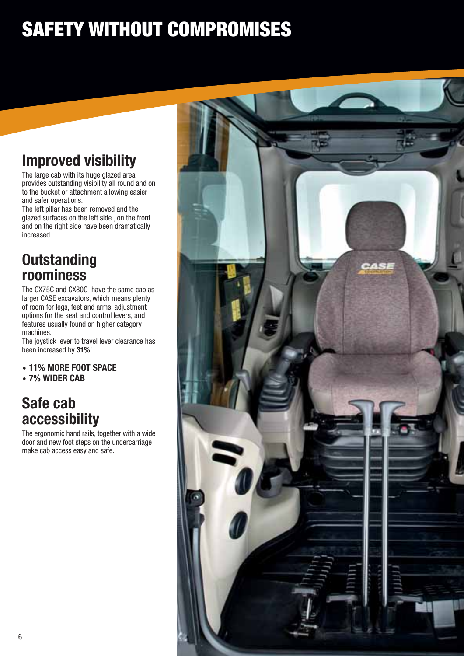# SAFETY WITHOUT COMPROMISES

# Improved visibility

The large cab with its huge glazed area provides outstanding visibility all round and on to the bucket or attachment allowing easier and safer operations.

The left pillar has been removed and the glazed surfaces on the left side , on the front and on the right side have been dramatically increased.

# **Outstanding** roominess

The CX75C and CX80C have the same cab as larger CASE excavators, which means plenty of room for legs, feet and arms, adjustment options for the seat and control levers, and features usually found on higher category machines.

The joystick lever to travel lever clearance has been increased by 31%!

- 11% MORE FOOT SPACE
- 7% WIDER CAB

### Safe cab accessibility

The ergonomic hand rails, together with a wide door and new foot steps on the undercarriage make cab access easy and safe.

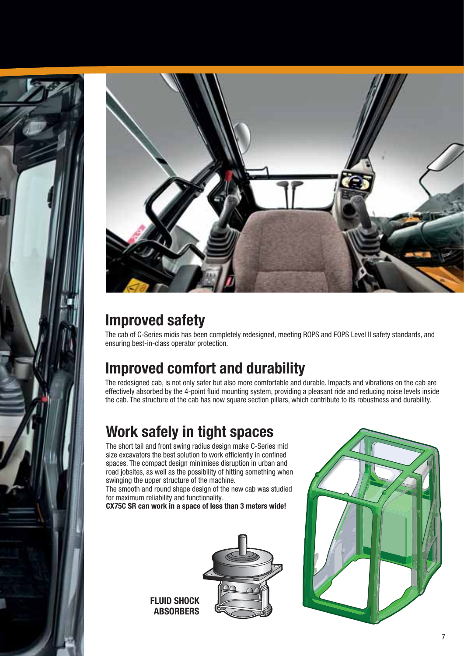



# Improved safety

The cab of C-Series midis has been completely redesigned, meeting ROPS and FOPS Level II safety standards, and ensuring best-in-class operator protection.

# Improved comfort and durability

The redesigned cab, is not only safer but also more comfortable and durable. Impacts and vibrations on the cab are effectively absorbed by the 4-point fluid mounting system, providing a pleasant ride and reducing noise levels inside the cab. The structure of the cab has now square section pillars, which contribute to its robustness and durability.

# Work safely in tight spaces

The short tail and front swing radius design make C-Series mid size excavators the best solution to work efficiently in confined spaces. The compact design minimises disruption in urban and road jobsites, as well as the possibility of hitting something when swinging the upper structure of the machine.

The smooth and round shape design of the new cab was studied for maximum reliability and functionality.

CX75C SR can work in a space of less than 3 meters wide!



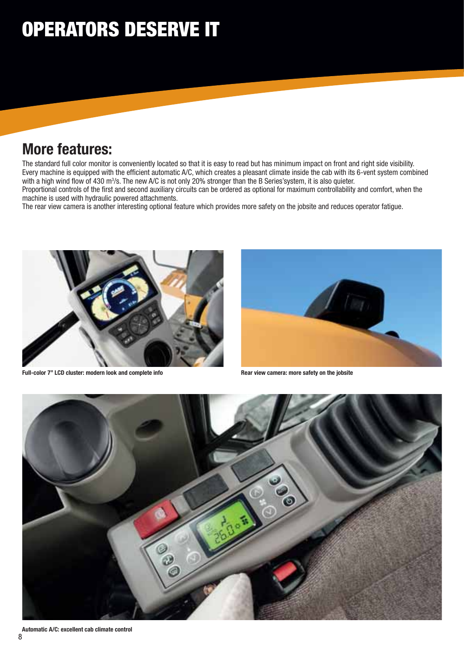# OPERATORS DESERVE IT

# More features:

The standard full color monitor is conveniently located so that it is easy to read but has minimum impact on front and right side visibility. Every machine is equipped with the efficient automatic A/C, which creates a pleasant climate inside the cab with its 6-vent system combined with a high wind flow of 430 m3/s. The new A/C is not only 20% stronger than the B Series'system, it is also quieter. Proportional controls of the first and second auxiliary circuits can be ordered as optional for maximum controllability and comfort, when the

machine is used with hydraulic powered attachments.

The rear view camera is another interesting optional feature which provides more safety on the jobsite and reduces operator fatigue.



Full-color 7" LCD cluster: modern look and complete info



Rear view camera: more safety on the jobsite

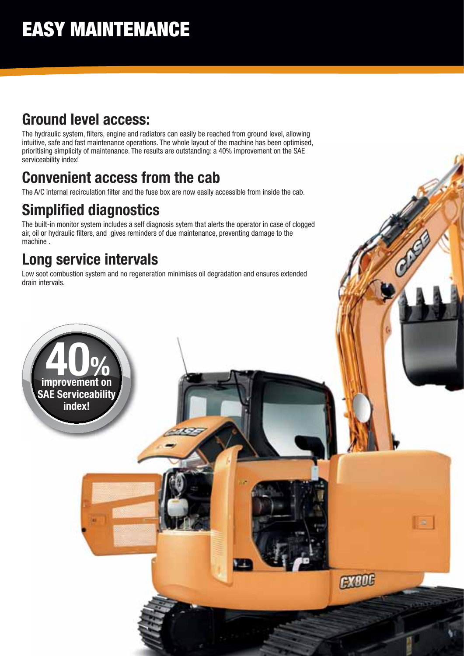# Ground level access:

The hydraulic system, filters, engine and radiators can easily be reached from ground level, allowing intuitive, safe and fast maintenance operations. The whole layout of the machine has been optimised, prioritising simplicity of maintenance. The results are outstanding: a 40% improvement on the SAE serviceability index!

# Convenient access from the cab

The A/C internal recirculation filter and the fuse box are now easily accessible from inside the cab.

# **Simplified diagnostics**

The built-in monitor system includes a self diagnosis sytem that alerts the operator in case of clogged air, oil or hydraulic filters, and gives reminders of due maintenance, preventing damage to the machine .

# Long service intervals

Improvement on

SAE Serviceability index!

Low soot combustion system and no regeneration minimises oil degradation and ensures extended drain intervals.

**EXCOG**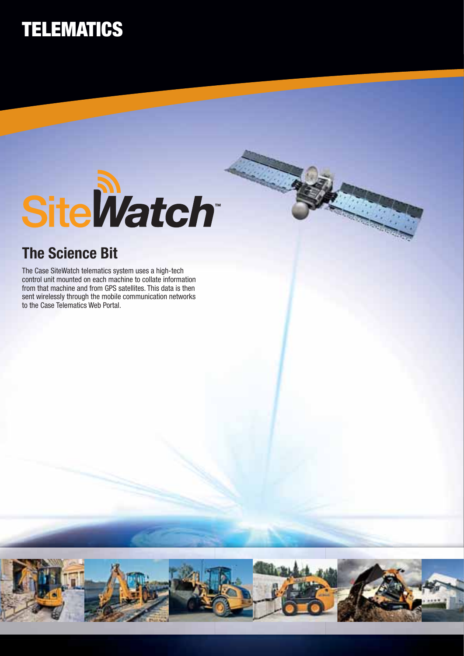# TELEMATICS

# **SiteWatch**

# The Science Bit

The Case SiteWatch telematics system uses a high-tech control unit mounted on each machine to collate information from that machine and from GPS satellites. This data is then sent wirelessly through the mobile communication networks to the Case Telematics Web Portal.

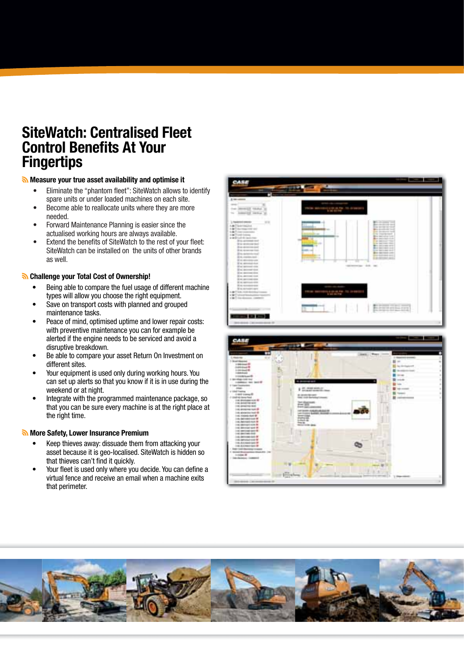### SiteWatch: Centralised Fleet **Control Benefits At Your Fingertips**

### Measure your true asset availability and optimise it

- Eliminate the "phantom fleet": SiteWatch allows to identify spare units or under loaded machines on each site.
- Become able to reallocate units where they are more needed.
- Forward Maintenance Planning is easier since the actualised working hours are always available.
- Extend the benefits of SiteWatch to the rest of your fleet: SiteWatch can be installed on the units of other brands as well.

### **N** Challenge your Total Cost of Ownership!

- Being able to compare the fuel usage of different machine types will allow you choose the right equipment.
- Save on transport costs with planned and grouped maintenance tasks.
- Peace of mind, optimised uptime and lower repair costs: with preventive maintenance you can for example be alerted if the engine needs to be serviced and avoid a disruptive breakdown.
- Be able to compare your asset Return On Investment on different sites.
- Your equipment is used only during working hours. You can set up alerts so that you know if it is in use during the weekend or at night.
- Integrate with the programmed maintenance package, so that you can be sure every machine is at the right place at the right time.

#### **More Safety, Lower Insurance Premium**

- Keep thieves away: dissuade them from attacking your asset because it is geo-localised. SiteWatch is hidden so that thieves can't find it quickly.
- Your fleet is used only where you decide. You can define a virtual fence and receive an email when a machine exits that perimeter.



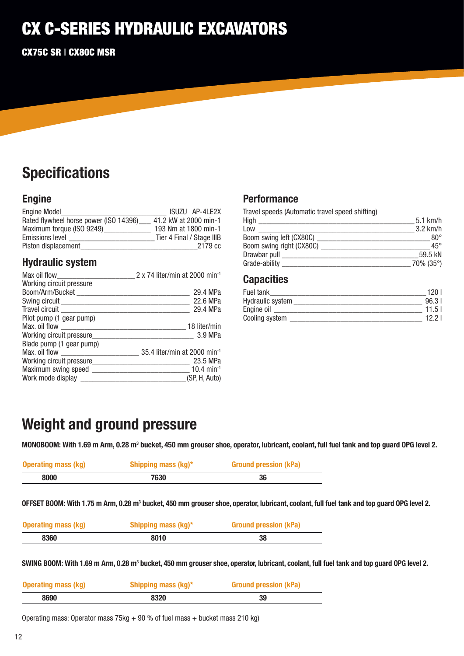CX75C SR I CX80C MSR

# **Specifications**

### Engine

| <b>Engine Model</b>                    | ISUZU AP-4LE2X            |
|----------------------------------------|---------------------------|
| Rated flywheel horse power (ISO 14396) | 41.2 kW at 2000 min-1     |
| Maximum torque (ISO 9249)              | 193 Nm at 1800 min-1      |
| Emissions level                        | Tier 4 Final / Stage IIIB |
| Piston displacement                    | 2179 cc                   |

### Hydraulic system

| Max oil flow             | $2 \times 74$ liter/min at 2000 min <sup>-1</sup> |
|--------------------------|---------------------------------------------------|
| Working circuit pressure |                                                   |
| Boom/Arm/Bucket _____    | 29.4 MPa                                          |
| Swing circuit            | 22.6 MPa                                          |
| Travel circuit           | 29.4 MPa                                          |
| Pilot pump (1 gear pump) |                                                   |
| Max. oil flow            | 18 liter/min                                      |
| Working circuit pressure | 3.9 MPa                                           |
| Blade pump (1 gear pump) |                                                   |
| Max. oil flow            | 35.4 liter/min at 2000 min <sup>-1</sup>          |
| Working circuit pressure | 23.5 MPa                                          |
| Maximum swing speed      | $10.4 \text{ min}^{-1}$                           |
| Work mode display        | (SP, H, Auto)                                     |
|                          |                                                   |

### **Performance**

Travel speeds (Automatic travel speed shifting)

| High                     | $5.1$ km/h   |
|--------------------------|--------------|
| Low                      | $3.2$ km/h   |
| Boom swing left (CX80C)  | $80^\circ$   |
| Boom swing right (CX80C) | $45^{\circ}$ |
| Drawbar pull             | 59.5 kN      |
| Grade-ability            | 70% (35°)    |
|                          |              |

### **Capacities**

| Fuel tank        | 120 I |
|------------------|-------|
| Hydraulic system | 96.31 |
| Engine oil       | 11.51 |
| Cooling system   | 1221  |

# Weight and ground pressure

MONOBOOM: With 1.69 m Arm, 0.28 m<sup>3</sup> bucket, 450 mm grouser shoe, operator, lubricant, coolant, full fuel tank and top guard OPG level 2.

| <b>Operating mass (kg)</b> | Shipping mass (kg)* | <b>Ground pression (kPa)</b> |  |
|----------------------------|---------------------|------------------------------|--|
| 8000                       | 7630                | 36                           |  |

OFFSET BOOM: With 1.75 m Arm, 0.28 m<sup>3</sup> bucket, 450 mm grouser shoe, operator, lubricant, coolant, full fuel tank and top guard OPG level 2.

| <b>Operating mass (kg)</b> | Shipping mass (kg)* | <b>Ground pression (kPa)</b> |
|----------------------------|---------------------|------------------------------|
| 8360                       | 8010                | 38                           |

SWING BOOM: With 1.69 m Arm, 0.28 m<sup>3</sup> bucket, 450 mm grouser shoe, operator, lubricant, coolant, full fuel tank and top guard OPG level 2.

| <b>Operating mass (kg)</b> | Shipping mass (kg)* | <b>Ground pression (kPa)</b> |
|----------------------------|---------------------|------------------------------|
| 8690                       | 8320                | 39                           |

Operating mass: Operator mass  $75kg + 90%$  of fuel mass + bucket mass 210 kg)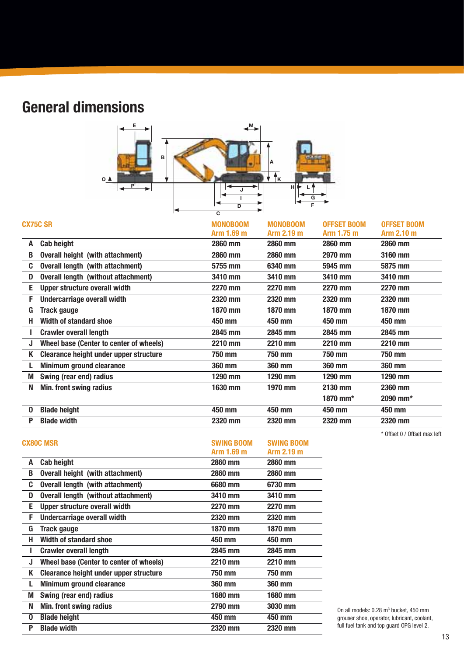# General dimensions



|    | <b>CX75C SR</b>                         | <b>MONOBOOM</b> | <b>MONOBOOM</b> | <b>OFFSET BOOM</b> | <b>OFFSET BOOM</b> |
|----|-----------------------------------------|-----------------|-----------------|--------------------|--------------------|
|    |                                         | Arm 1.69 m      | Arm 2.19 m      | Arm 1.75 m         | <b>Arm 2.10 m</b>  |
| A  | <b>Cab height</b>                       | 2860 mm         | 2860 mm         | 2860 mm            | 2860 mm            |
| B. | <b>Overall height (with attachment)</b> | 2860 mm         | 2860 mm         | 2970 mm            | 3160 mm            |
| C. | Overall length (with attachment)        | 5755 mm         | 6340 mm         | 5945 mm            | 5875 mm            |
| D  | Overall length (without attachment)     | 3410 mm         | 3410 mm         | 3410 mm            | 3410 mm            |
| Е. | Upper structure overall width           | 2270 mm         | 2270 mm         | 2270 mm            | 2270 mm            |
| F  | <b>Undercarriage overall width</b>      | 2320 mm         | 2320 mm         | 2320 mm            | 2320 mm            |
| G  | <b>Track gauge</b>                      | 1870 mm         | 1870 mm         | 1870 mm            | 1870 mm            |
| н  | Width of standard shoe                  | 450 mm          | 450 mm          | 450 mm             | 450 mm             |
|    | <b>Crawler overall length</b>           | 2845 mm         | 2845 mm         | 2845 mm            | 2845 mm            |
|    | Wheel base (Center to center of wheels) | 2210 mm         | 2210 mm         | 2210 mm            | 2210 mm            |
| K. | Clearance height under upper structure  | 750 mm          | 750 mm          | 750 mm             | 750 mm             |
|    | Minimum ground clearance                | 360 mm          | 360 mm          | <b>360 mm</b>      | 360 mm             |
| M  | Swing (rear end) radius                 | 1290 mm         | 1290 mm         | 1290 mm            | 1290 mm            |
| N  | Min. front swing radius                 | 1630 mm         | 1970 mm         | 2130 mm            | 2360 mm            |
|    |                                         |                 |                 | 1870 mm*           | 2090 mm*           |
| 0  | <b>Blade height</b>                     | 450 mm          | 450 mm          | 450 mm             | 450 mm             |
| P  | <b>Blade width</b>                      | 2320 mm         | 2320 mm         | 2320 mm            | 2320 mm            |

| <b>CX80C MSR</b> |                                            | <b>SWING BOOM</b><br>Arm 1.69 m | <b>SWING BOOM</b><br>Arm 2.19 m |
|------------------|--------------------------------------------|---------------------------------|---------------------------------|
| A                | <b>Cab height</b>                          | 2860 mm                         | 2860 mm                         |
| B                | <b>Overall height (with attachment)</b>    | 2860 mm                         | 2860 mm                         |
| C                | <b>Overall length (with attachment)</b>    | 6680 mm                         | 6730 mm                         |
| D                | <b>Overall length (without attachment)</b> | 3410 mm                         | 3410 mm                         |
| Е                | Upper structure overall width              | 2270 mm                         | 2270 mm                         |
| F                | <b>Undercarriage overall width</b>         | 2320 mm                         | 2320 mm                         |
| G                | <b>Track gauge</b>                         | 1870 mm                         | 1870 mm                         |
| н                | Width of standard shoe                     | 450 mm                          | 450 mm                          |
| ı                | <b>Crawler overall length</b>              | 2845 mm                         | 2845 mm                         |
| J                | Wheel base (Center to center of wheels)    | 2210 mm                         | 2210 mm                         |
| K                | Clearance height under upper structure     | 750 mm                          | 750 mm                          |
| L                | <b>Minimum ground clearance</b>            | 360 mm                          | 360 mm                          |
| M                | Swing (rear end) radius                    | 1680 mm                         | 1680 mm                         |
| N                | <b>Min. front swing radius</b>             | 2790 mm                         | 3030 mm                         |
| 0                | <b>Blade height</b>                        | 450 mm                          | 450 mm                          |
| P                | <b>Blade width</b>                         | 2320 mm                         | 2320 mm                         |
|                  |                                            |                                 |                                 |

\* Offset 0 / Offset max left

On all models: 0.28 m3 bucket, 450 mm grouser shoe, operator, lubricant, coolant, full fuel tank and top guard OPG level 2.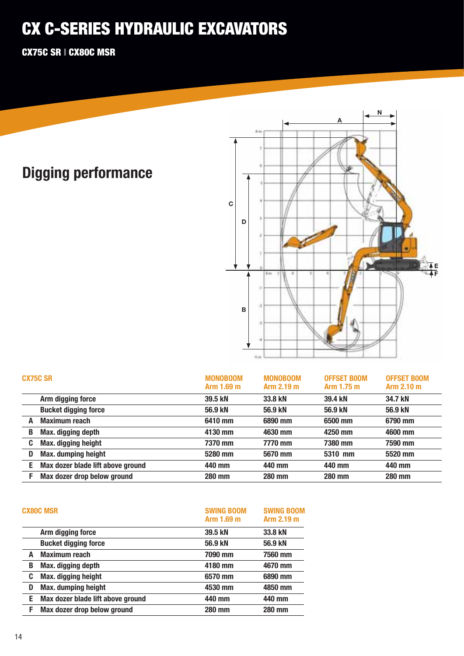### CX75C SR I CX80C MSR

# Digging performance



| <b>OFFSET BOOM</b><br><b>OFFSET BOOM</b><br><b>MONOBOOM</b><br>Arm 1.69 m<br>Arm 2.19 m<br>Arm 1.75 m<br>Arm 2.10 m | <b>CX75C SR</b><br><b>MONOBOOM</b> |
|---------------------------------------------------------------------------------------------------------------------|------------------------------------|
| 34.7 kN<br>39.5 kN<br>39.4 kN<br>33.8 kN                                                                            | Arm digging force                  |
| 56.9 kN<br>56.9 kN<br>56.9 kN<br>56.9 kN                                                                            | <b>Bucket digging force</b>        |
| 6410 mm<br>6890 mm<br>6500 mm<br>6790 mm                                                                            | Maximum reach                      |
| 4130 mm<br>4630 mm<br>4250 mm<br>4600 mm                                                                            | Max. digging depth                 |
| 7380 mm<br>7590 mm<br>7370 mm<br>7770 mm                                                                            | Max. digging height                |
| 5310 mm<br>5280 mm<br>5670 mm<br>5520 mm                                                                            | <b>Max.</b> dumping height         |
| 440 mm<br>440 mm<br>440 mm<br>440 mm                                                                                | Max dozer blade lift above ground  |
| 280 mm<br>280 mm<br><b>280 mm</b><br><b>280 mm</b>                                                                  | Max dozer drop below ground        |
|                                                                                                                     |                                    |

| <b>CX80C MSR</b> |                                   | <b>SWING BOOM</b><br>Arm 1.69 m | <b>SWING BOOM</b><br>Arm 2.19 m |
|------------------|-----------------------------------|---------------------------------|---------------------------------|
|                  | Arm digging force                 | 39.5 kN                         | 33.8 kN                         |
|                  | <b>Bucket digging force</b>       | 56.9 kN                         | 56.9 kN                         |
| A                | <b>Maximum reach</b>              | 7090 mm                         | 7560 mm                         |
| B                | Max. digging depth                | 4180 mm                         | 4670 mm                         |
| C                | Max. digging height               | 6570 mm                         | 6890 mm                         |
| D                | <b>Max. dumping height</b>        | 4530 mm                         | 4850 mm                         |
| Е                | Max dozer blade lift above ground | 440 mm                          | 440 mm                          |
| F                | Max dozer drop below ground       | <b>280 mm</b>                   | 280 mm                          |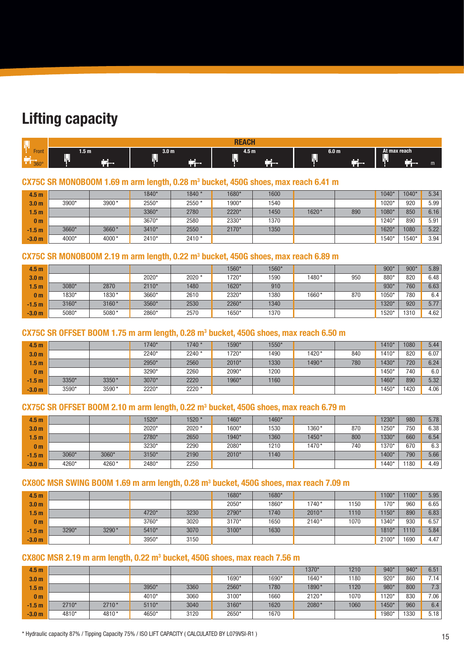# Lifting capacity

|       |       |                              | $A^{\sim}$<br>DE. |              |              |
|-------|-------|------------------------------|-------------------|--------------|--------------|
| Front | 1.5 M | 3.0 <sub>m</sub><br>_<br>. . | 4.5 M<br>. .      | 6.0 m<br>. . | At max reach |
| 360°  | ישנ   |                              | ועו               | שו'          | DΜ<br>m      |

### $\textsf{CX75C}$  SR MONOBOOM 1.69 m arm length, 0.28 m<sup>3</sup> bucket, 450G shoes, max reach 6.41 m

| 4.5 <sub>m</sub> |       |       | 1840* | 1840 *  | 1680* | 1600 |       |     | 1040* | $1040*$ | 5.34 |
|------------------|-------|-------|-------|---------|-------|------|-------|-----|-------|---------|------|
| 3.0 <sub>m</sub> | 3900* | 3900* | 2550* | $2550*$ | 1900* | 1540 |       |     | 1020* | 920     | 5.99 |
| 1.5 <sub>m</sub> |       |       | 3360* | 2780    | 2220* | 1450 | 1620* | 890 | 1080* | 850     | 6.16 |
| 0 <sub>m</sub>   |       |       | 3670* | 2580    | 2330* | 1370 |       |     | 1240* | 890     | 5.91 |
| $-1.5 m$         | 3660* | 3660* | 3410* | 2550    | 2170* | 1350 |       |     | 1620* | 1080    | 5.22 |
| $-3.0m$          | 4000* | 4000* | 2410* | $2410*$ |       |      |       |     | 1540* | 1540*   | 3.94 |

#### CX75C SR MONOBOOM 2.19 m arm length, 0.22 m<sup>3</sup> bucket, 450G shoes, max reach 6.89 m

| 4.5 <sub>m</sub> |       |       |         |         | 1560* | 1560* |       |     | $900*$ | $900*$ | 5.89 |
|------------------|-------|-------|---------|---------|-------|-------|-------|-----|--------|--------|------|
| 3.0 <sub>m</sub> |       |       | 2020*   | $2020*$ | 1720* | 1590  | 1480* | 950 | 880*   | 820    | 6.48 |
| .5 <sub>m</sub>  | 3080* | 2870  | $2110*$ | 1480    | 1620* | 910   |       |     | 930*   | 760    | 6.63 |
| 0 <sub>m</sub>   | 1830* | 1830* | 3660*   | 2610    | 2320* | 1380  | 1660* | 870 | 1050*  | 780    | 6.4  |
| $-1.5m$          | 3160* | 3160* | 3560*   | 2530    | 2260* | 1340  |       |     | 1320*  | 920    | 5.77 |
| $-3.0 m$         | 5080* | 5080* | 2860*   | 2570    | 1650* | 1370  |       |     | 1520*  | 1310   | 4.62 |

### $\textsf{CX75C}$  SR OFFSET BOOM 1.75 m arm length, 0.28 m<sup>3</sup> bucket, 450G shoes, max reach 6.50 m

| 4.5 <sub>m</sub> |       |       | $1740*$ | 1740 * | 1590* | 1550* |       |     | 1410* | 1080 | 5.44 |
|------------------|-------|-------|---------|--------|-------|-------|-------|-----|-------|------|------|
| 3.0 <sub>m</sub> |       |       | 2240*   | 2240 * | 1720* | 1490  | 1420* | 840 | 1410* | 820  | 6.07 |
| 1.5 <sub>m</sub> |       |       | 2950*   | 2560   | 2010* | 1330  | 1490* | 780 | 1430* | 720  | 6.24 |
| 0 <sub>m</sub>   |       |       | 3290*   | 2260   | 2090* | 1200  |       |     | 1450* | 740  | 6.0  |
| $-1.5 m$         | 3350* | 3350* | 3070*   | 2220   | 1960* | 1160  |       |     | 1460* | 890  | 5.32 |
| $-3.0m$          | 3590* | 3590* | 2220*   | 2220 * |       |       |       |     | 1450* | 1420 | 4.06 |

#### $\textsf{CX75C}$  SR OFFSET BOOM 2.10 m arm length, 0.22 m<sup>3</sup> bucket, 450G shoes, max reach 6.79 m

| 4.5 <sub>m</sub> |       |       | $1520*$ | 1520 *  | 1460* | 1460* |       |     | 1230*   | 980 | 5.78 |
|------------------|-------|-------|---------|---------|-------|-------|-------|-----|---------|-----|------|
| 3.0 <sub>m</sub> |       |       | 2020*   | $2020*$ | 1600* | 1530  | 1360* | 870 | 1250*   | 750 | 6.38 |
| .5 <sub>m</sub>  |       |       | 2780*   | 2650    | 1940* | 1360  | 1450* | 800 | 1330*   | 660 | 6.54 |
| 0 <sub>m</sub>   |       |       | 3230*   | 2290    | 2080* | 1210  | 1470* | 740 | 1370*   | 670 | 6.3  |
| $-1.5 m$         | 3060* | 3060* | 3150*   | 2190    | 2010* | 1140  |       |     | 1400*   | 790 | 5.66 |
| $-3.0m$          | 4260* | 4260* | 2480*   | 2250    |       |       |       |     | $1440*$ | 180 | 4.49 |

### $CX80C$  MSR SWING BOOM 1.69 m arm length, 0.28 m<sup>3</sup> bucket, 450G shoes, max reach 7.09 m

| 4.5 <sub>m</sub> |       |       |       |      | 1680* | 1680* |         |      | 1100*   | 1100* | 5.95 |
|------------------|-------|-------|-------|------|-------|-------|---------|------|---------|-------|------|
| 3.0 <sub>m</sub> |       |       |       |      | 2050* | 1860* | 1740*   | 1150 | $70*$   | 960   | 6.65 |
| 1.5 <sub>m</sub> |       |       | 4720* | 3230 | 2790* | 1740  | $2010*$ | 1110 | $1150*$ | 890   | 6.83 |
| 0 <sub>m</sub>   |       |       | 3760* | 3020 | 3170* | 1650  | $2140*$ | 1070 | 1340*   | 930   | 6.57 |
| $-1.5 m$         | 3290* | 3290* | 5410* | 3070 | 3100* | 1630  |         |      | 1810*   | 1110  | 5.84 |
| $-3.0m$          |       |       | 3950* | 3150 |       |       |         |      | $2100*$ | 1690  | 4.47 |

### CX80C MSR 2.19 m arm length, 0.22 m<sup>3</sup> bucket, 450G shoes, max reach 7.56 m

| 4.5 <sub>m</sub> |         |         |         |      |       |       | 1370*   | 1210 | 940*    | 940* | 6.51 |
|------------------|---------|---------|---------|------|-------|-------|---------|------|---------|------|------|
| 3.0 <sub>m</sub> |         |         |         |      | 1690* | 1690* | 1640*   | 1180 | $920*$  | 860  | 7.14 |
| .5 <sub>m</sub>  |         |         | 3950*   | 3360 | 2560* | 1780  | 1890*   | 1120 | 980*    | 800  | 7.3  |
| 0 <sub>m</sub>   |         |         | 4010*   | 3060 | 3100* | 1660  | $2120*$ | 1070 | $1120*$ | 830  | 7.06 |
| $-1.5 m$         | $2710*$ | $2710*$ | $5110*$ | 3040 | 3160* | 1620  | 2080*   | 1060 | 1450*   | 960  | 6.4  |
| $-3.0 m$         | 4810*   | 4810*   | 4650*   | 3120 | 2650* | 1670  |         |      | 1980*   | 1330 | 5.18 |

\* Hydraulic capacity 87% / Tipping Capacity 75% / ISO LIFT CAPACITY ( CALCULATED BY L079VSI-R1 )